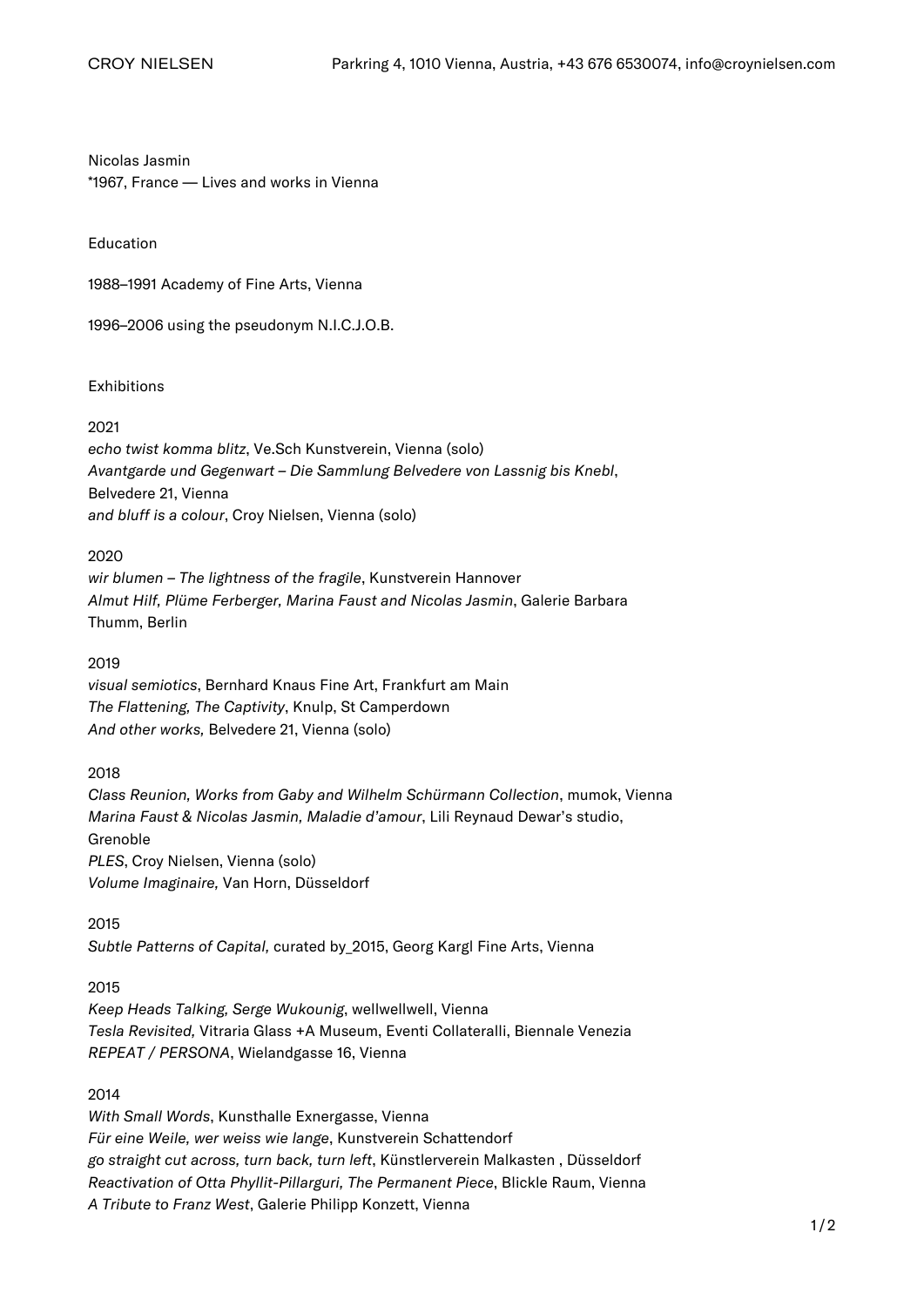Nicolas Jasmin \*1967, France — Lives and works in Vienna

Education

1988–1991 Academy of Fine Arts, Vienna

1996–2006 using the pseudonym N.I.C.J.O.B.

Exhibitions

#### 2021

echo twist komma blitz, Ve.Sch Kunstverein, Vienna (solo) Avantgarde und Gegenwart – Die Sammlung Belvedere von Lassnig bis Knebl, Belvedere 21, Vienna and bluff is a colour, Croy Nielsen, Vienna (solo)

#### 2020

wir blumen – The lightness of the fragile, Kunstverein Hannover Almut Hilf, Plüme Ferberger, Marina Faust and Nicolas Jasmin, Galerie Barbara Thumm, Berlin

# 2019

visual semiotics, Bernhard Knaus Fine Art, Frankfurt am Main The Flattening, The Captivity, Knulp, St Camperdown And other works, Belvedere 21, Vienna (solo)

# 2018

Class Reunion, Works from Gaby and Wilhelm Schürmann Collection, mumok, Vienna Marina Faust & Nicolas Jasmin, Maladie d'amour, Lili Reynaud Dewar's studio, Grenoble PLES, Croy Nielsen, Vienna (solo) Volume Imaginaire, Van Horn, Düsseldorf

#### 2015

Subtle Patterns of Capital, curated by\_2015, Georg Kargl Fine Arts, Vienna

# 2015

Keep Heads Talking, Serge Wukounig, wellwellwell, Vienna Tesla Revisited, Vitraria Glass +A Museum, Eventi Collateralli, Biennale Venezia REPEAT / PERSONA, Wielandgasse 16, Vienna

# 2014

With Small Words, Kunsthalle Exnergasse, Vienna Für eine Weile, wer weiss wie lange, Kunstverein Schattendorf go straight cut across, turn back, turn left, Künstlerverein Malkasten , Düsseldorf Reactivation of Otta Phyllit-Pillarguri, The Permanent Piece, Blickle Raum, Vienna A Tribute to Franz West, Galerie Philipp Konzett, Vienna